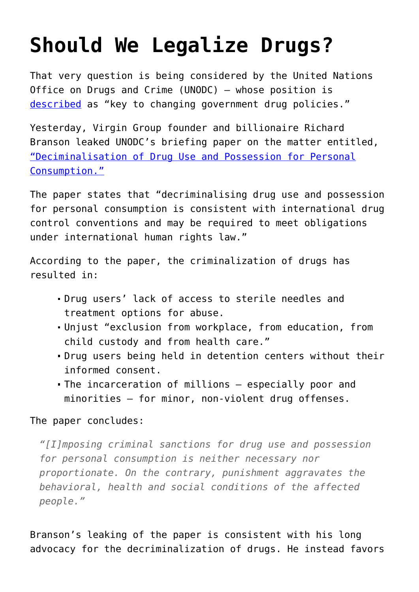## **[Should We Legalize Drugs?](https://intellectualtakeout.org/2015/10/should-we-legalize-drugs/)**

That very question is being considered by the United Nations Office on Drugs and Crime (UNODC) – whose position is [described](http://www.bbc.com/news/uk-34571609) as "key to changing government drug policies."

Yesterday, Virgin Group founder and billionaire Richard Branson leaked UNODC's briefing paper on the matter entitled, ["Deciminalisation of Drug Use and Possession for Personal](http://www.virgin.com/richard-branson/finally-a-change-in-course-on-drug-policy) [Consumption."](http://www.virgin.com/richard-branson/finally-a-change-in-course-on-drug-policy)

The paper states that "decriminalising drug use and possession for personal consumption is consistent with international drug control conventions and may be required to meet obligations under international human rights law."

According to the paper, the criminalization of drugs has resulted in:

- Drug users' lack of access to sterile needles and treatment options for abuse.
- Unjust "exclusion from workplace, from education, from child custody and from health care."
- Drug users being held in detention centers without their informed consent.
- The incarceration of millions especially poor and minorities – for minor, non-violent drug offenses.

## The paper concludes:

*"[I]mposing criminal sanctions for drug use and possession for personal consumption is neither necessary nor proportionate. On the contrary, punishment aggravates the behavioral, health and social conditions of the affected people."*

Branson's leaking of the paper is consistent with his long advocacy for the decriminalization of drugs. He instead favors